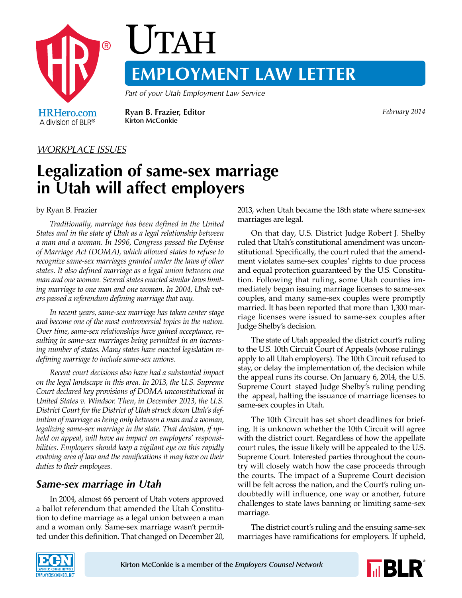

# UTAH **EMPLOYMENT LAW LETTER**

*Part of your Utah Employment Law Service*

A division of BLR®

**Ryan B. Frazier, Editor** *February 2014* **Kirton McConkie**

#### *WORKPLACE ISSUES*

## **Legalization of same-sex marriage in Utah will affect employers**

#### by Ryan B. Frazier

*Traditionally, marriage has been defined in the United States and in the state of Utah as a legal relationship between a man and a woman. In 1996, Congress passed the Defense of Marriage Act (DOMA), which allowed states to refuse to recognize same-sex marriages granted under the laws of other states. It also defined marriage as a legal union between one man and one woman. Several states enacted similar laws limiting marriage to one man and one woman. In 2004, Utah voters passed a referendum defining marriage that way.*

*In recent years, same-sex marriage has taken center stage and become one of the most controversial topics in the nation. Over time, same-sex relationships have gained acceptance, resulting in same-sex marriages being permitted in an increasing number of states. Many states have enacted legislation redefining marriage to include same-sex unions.*

*Recent court decisions also have had a substantial impact on the legal landscape in this area. In 2013, the U.S. Supreme Court declared key provisions of DOMA unconstitutional in United States v. Windsor. Then, in December 2013, the U.S. District Court for the District of Utah struck down Utah's definition of marriage as being only between a man and a woman, legalizing same-sex marriage in the state. That decision, if upheld on appeal, will have an impact on employers' responsibilities. Employers should keep a vigilant eye on this rapidly evolving area of law and the ramifications it may have on their duties to their employees.*

### *Same-sex marriage in Utah*

In 2004, almost 66 percent of Utah voters approved a ballot referendum that amended the Utah Constitution to define marriage as a legal union between a man and a woman only. Same-sex marriage wasn't permitted under this definition. That changed on December 20, 2013, when Utah became the 18th state where same-sex marriages are legal.

On that day, U.S. District Judge Robert J. Shelby ruled that Utah's constitutional amendment was unconstitutional. Specifically, the court ruled that the amendment violates same-sex couples' rights to due process and equal protection guaranteed by the U.S. Constitution. Following that ruling, some Utah counties immediately began issuing marriage licenses to same-sex couples, and many same-sex couples were promptly married. It has been reported that more than 1,300 marriage licenses were issued to same-sex couples after Judge Shelby's decision.

The state of Utah appealed the district court's ruling to the U.S. 10th Circuit Court of Appeals (whose rulings apply to all Utah employers). The 10th Circuit refused to stay, or delay the implementation of, the decision while the appeal runs its course. On January 6, 2014, the U.S. Supreme Court stayed Judge Shelby's ruling pending the appeal, halting the issuance of marriage licenses to same-sex couples in Utah.

The 10th Circuit has set short deadlines for briefing. It is unknown whether the 10th Circuit will agree with the district court. Regardless of how the appellate court rules, the issue likely will be appealed to the U.S. Supreme Court. Interested parties throughout the country will closely watch how the case proceeds through the courts. The impact of a Supreme Court decision will be felt across the nation, and the Court's ruling undoubtedly will influence, one way or another, future challenges to state laws banning or limiting same-sex marriage.

The district court's ruling and the ensuing same-sex marriages have ramifications for employers. If upheld,



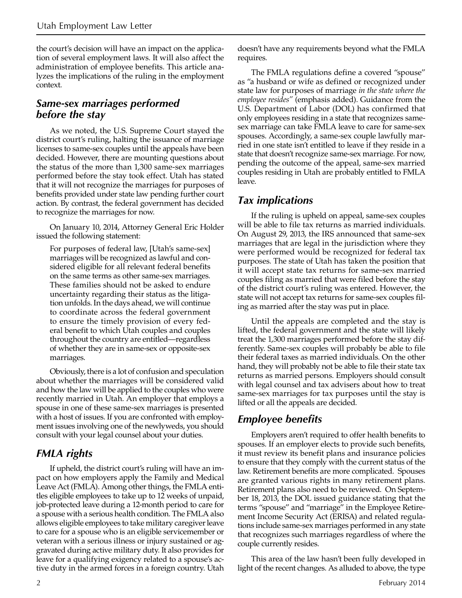the court's decision will have an impact on the application of several employment laws. It will also affect the administration of employee benefits. This article analyzes the implications of the ruling in the employment context.

#### *Same-sex marriages performed before the stay*

As we noted, the U.S. Supreme Court stayed the district court's ruling, halting the issuance of marriage licenses to same-sex couples until the appeals have been decided. However, there are mounting questions about the status of the more than 1,300 same-sex marriages performed before the stay took effect. Utah has stated that it will not recognize the marriages for purposes of benefits provided under state law pending further court action. By contrast, the federal government has decided to recognize the marriages for now.

On January 10, 2014, Attorney General Eric Holder issued the following statement:

For purposes of federal law, [Utah's same-sex] marriages will be recognized as lawful and considered eligible for all relevant federal benefits on the same terms as other same-sex marriages. These families should not be asked to endure uncertainty regarding their status as the litigation unfolds. In the days ahead, we will continue to coordinate across the federal government to ensure the timely provision of every federal benefit to which Utah couples and couples throughout the country are entitled—regardless of whether they are in same-sex or opposite-sex marriages.

Obviously, there is a lot of confusion and speculation about whether the marriages will be considered valid and how the law will be applied to the couples who were recently married in Utah. An employer that employs a spouse in one of these same-sex marriages is presented with a host of issues. If you are confronted with employment issues involving one of the newlyweds, you should consult with your legal counsel about your duties.

### *FMLA rights*

If upheld, the district court's ruling will have an impact on how employers apply the Family and Medical Leave Act (FMLA). Among other things, the FMLA entitles eligible employees to take up to 12 weeks of unpaid, job-protected leave during a 12-month period to care for a spouse with a serious health condition. The FMLA also allows eligible employees to take military caregiver leave to care for a spouse who is an eligible servicemember or veteran with a serious illness or injury sustained or aggravated during active military duty. It also provides for leave for a qualifying exigency related to a spouse's active duty in the armed forces in a foreign country. Utah doesn't have any requirements beyond what the FMLA requires.

The FMLA regulations define a covered "spouse" as "a husband or wife as defined or recognized under state law for purposes of marriage *in the state where the employee resides"* (emphasis added). Guidance from the U.S. Department of Labor (DOL) has confirmed that only employees residing in a state that recognizes samesex marriage can take FMLA leave to care for same-sex spouses. Accordingly, a same-sex couple lawfully married in one state isn't entitled to leave if they reside in a state that doesn't recognize same-sex marriage. For now, pending the outcome of the appeal, same-sex married couples residing in Utah are probably entitled to FMLA leave.

#### *Tax implications*

If the ruling is upheld on appeal, same-sex couples will be able to file tax returns as married individuals. On August 29, 2013, the IRS announced that same-sex marriages that are legal in the jurisdiction where they were performed would be recognized for federal tax purposes. The state of Utah has taken the position that it will accept state tax returns for same-sex married couples filing as married that were filed before the stay of the district court's ruling was entered. However, the state will not accept tax returns for same-sex couples filing as married after the stay was put in place.

Until the appeals are completed and the stay is lifted, the federal government and the state will likely treat the 1,300 marriages performed before the stay differently. Same-sex couples will probably be able to file their federal taxes as married individuals. On the other hand, they will probably not be able to file their state tax returns as married persons. Employers should consult with legal counsel and tax advisers about how to treat same-sex marriages for tax purposes until the stay is lifted or all the appeals are decided.

### *Employee benefits*

Employers aren't required to offer health benefits to spouses. If an employer elects to provide such benefits, it must review its benefit plans and insurance policies to ensure that they comply with the current status of the law. Retirement benefits are more complicated. Spouses are granted various rights in many retirement plans. Retirement plans also need to be reviewed. On September 18, 2013, the DOL issued guidance stating that the terms "spouse" and "marriage" in the Employee Retirement Income Security Act (ERISA) and related regulations include same-sex marriages performed in any state that recognizes such marriages regardless of where the couple currently resides.

This area of the law hasn't been fully developed in light of the recent changes. As alluded to above, the type